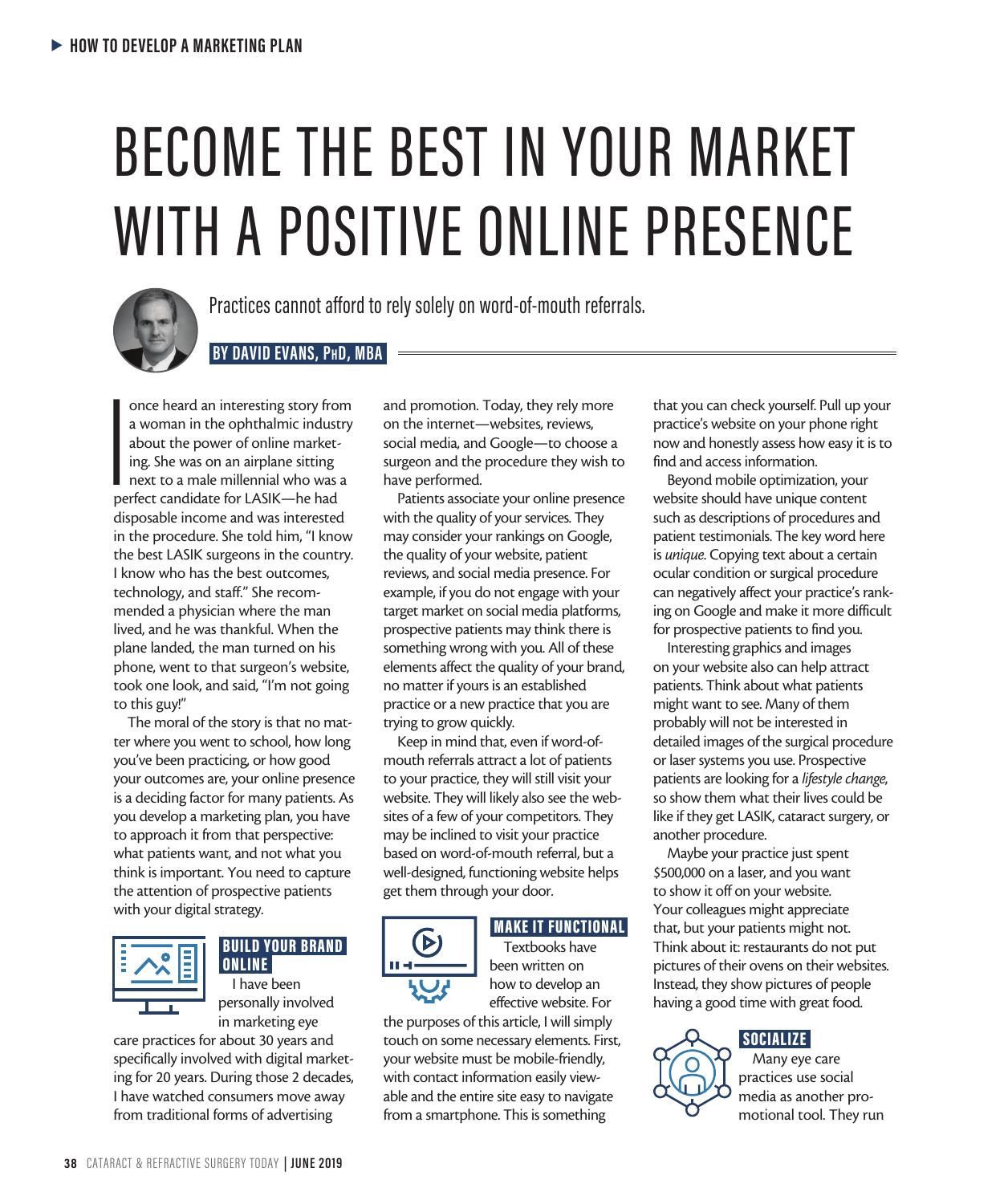# BECOME THE BEST IN YOUR MARKET WITH A POSITIVE ONLINE PRESENCE



Practices cannot afford to rely solely on word-of-mouth referrals.

## **BY DAVID EVANS, PhD, MBA**

 $\begin{array}{c}\n\hline\n\text{p}\text{e} \\
\hline\n\text{p}\text{e} \\
\hline\n\end{array}$ once heard an interesting story from a woman in the ophthalmic industry about the power of online marketing. She was on an airplane sitting next to a male millennial who was a perfect candidate for LASIK—he had disposable income and was interested in the procedure. She told him, "I know the best LASIK surgeons in the country. I know who has the best outcomes, technology, and staff." She recommended a physician where the man lived, and he was thankful. When the plane landed, the man turned on his phone, went to that surgeon's website, took one look, and said, "I'm not going to this guy!"

The moral of the story is that no matter where you went to school, how long you've been practicing, or how good your outcomes are, your online presence is a deciding factor for many patients. As you develop a marketing plan, you have to approach it from that perspective: what patients want, and not what you think is important. You need to capture the attention of prospective patients with your digital strategy.



# BUILD YOUR BRAND ONLINE

I have been personally involved in marketing eye

care practices for about 30 years and specifically involved with digital marketing for 20 years. During those 2 decades, I have watched consumers move away from traditional forms of advertising

and promotion. Today, they rely more on the internet—websites, reviews, social media, and Google—to choose a surgeon and the procedure they wish to have performed.

Patients associate your online presence with the quality of your services. They may consider your rankings on Google, the quality of your website, patient reviews, and social media presence. For example, if you do not engage with your target market on social media platforms, prospective patients may think there is something wrong with you. All of these elements affect the quality of your brand, no matter if yours is an established practice or a new practice that you are trying to grow quickly.

Keep in mind that, even if word-ofmouth referrals attract a lot of patients to your practice, they will still visit your website. They will likely also see the websites of a few of your competitors. They may be inclined to visit your practice based on word-of-mouth referral, but a well-designed, functioning website helps get them through your door.



# MAKE IT FUNCTIONAL

Textbooks have been written on how to develop an effective website. For

the purposes of this article, I will simply touch on some necessary elements. First, your website must be mobile-friendly, with contact information easily viewable and the entire site easy to navigate from a smartphone. This is something

that you can check yourself. Pull up your practice's website on your phone right now and honestly assess how easy it is to find and access information.

Beyond mobile optimization, your website should have unique content such as descriptions of procedures and patient testimonials. The key word here is *unique*. Copying text about a certain ocular condition or surgical procedure can negatively affect your practice's ranking on Google and make it more difficult for prospective patients to find you.

Interesting graphics and images on your website also can help attract patients. Think about what patients might want to see. Many of them probably will not be interested in detailed images of the surgical procedure or laser systems you use. Prospective patients are looking for a *lifestyle change*, so show them what their lives could be like if they get LASIK, cataract surgery, or another procedure.

Maybe your practice just spent \$500,000 on a laser, and you want to show it off on your website. Your colleagues might appreciate that, but your patients might not. Think about it: restaurants do not put pictures of their ovens on their websites. Instead, they show pictures of people having a good time with great food.

# SOCIALIZE



Many eye care practices use social media as another promotional tool. They run